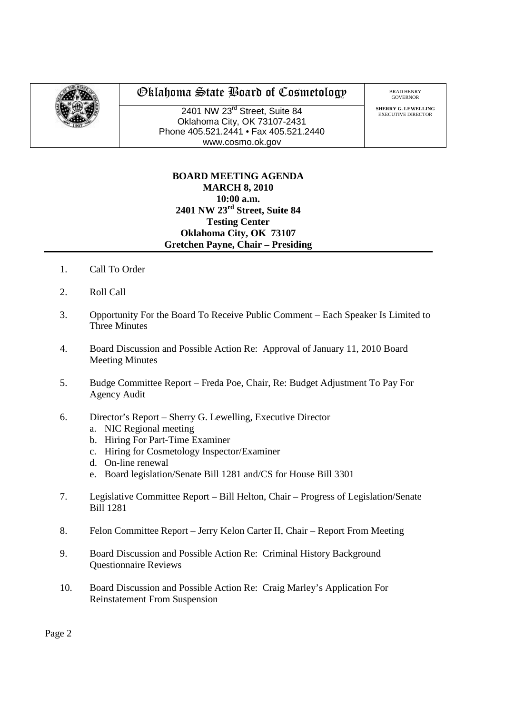

## Oklahoma State Board of Cosmetology

2401 NW 23rd Street, Suite 84 Oklahoma City, OK 73107-2431 Phone 405.521.2441 • Fax 405.521.2440 www.cosmo.ok.gov

BRAD HENRY GOVERNOR

**SHERRY G. LEWELLING** EXECUTIVE DIRECTO

## **BOARD MEETING AGENDA MARCH 8, 2010 10:00 a.m. 2401 NW 23rd Street, Suite 84 Testing Center Oklahoma City, OK 73107 Gretchen Payne, Chair – Presiding**

- 1. Call To Order
- 2. Roll Call
- 3. Opportunity For the Board To Receive Public Comment Each Speaker Is Limited to Three Minutes
- 4. Board Discussion and Possible Action Re: Approval of January 11, 2010 Board Meeting Minutes
- 5. Budge Committee Report Freda Poe, Chair, Re: Budget Adjustment To Pay For Agency Audit
- 6. Director's Report Sherry G. Lewelling, Executive Director
	- a. NIC Regional meeting
	- b. Hiring For Part-Time Examiner
	- c. Hiring for Cosmetology Inspector/Examiner
	- d. On-line renewal
	- e. Board legislation/Senate Bill 1281 and/CS for House Bill 3301
- 7. Legislative Committee Report Bill Helton, Chair Progress of Legislation/Senate Bill 1281
- 8. Felon Committee Report Jerry Kelon Carter II, Chair Report From Meeting
- 9. Board Discussion and Possible Action Re: Criminal History Background Questionnaire Reviews
- 10. Board Discussion and Possible Action Re: Craig Marley's Application For Reinstatement From Suspension

Page 2